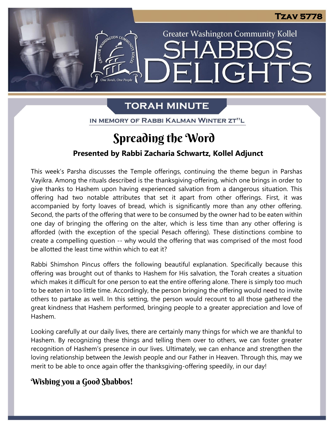

**Greater Washington Community Kollel** 

ELIGHTS

# **TORAH MINUTE**

ne Torah. One People

IN MEMORY OF RABBI KALMAN WINTER ZT"L

# Spreading the Word

## **Presented by Rabbi Zacharia Schwartz, Kollel Adjunct**

This week's Parsha discusses the Temple offerings, continuing the theme begun in Parshas Vayikra. Among the rituals described is the thanksgiving-offering, which one brings in order to give thanks to Hashem upon having experienced salvation from a dangerous situation. This offering had two notable attributes that set it apart from other offerings. First, it was accompanied by forty loaves of bread, which is significantly more than any other offering. Second, the parts of the offering that were to be consumed by the owner had to be eaten within one day of bringing the offering on the alter, which is less time than any other offering is afforded (with the exception of the special Pesach offering). These distinctions combine to create a compelling question -- why would the offering that was comprised of the most food be allotted the least time within which to eat it? **pre**

Rabbi Shimshon Pincus offers the following beautiful explanation. Specifically because this offering was brought out of thanks to Hashem for His salvation, the Torah creates a situation which makes it difficult for one person to eat the entire offering alone. There is simply too much to be eaten in too little time. Accordingly, the person bringing the offering would need to invite<br>others to partake as well. In this setting, the person would recount to all those gathered the others to partake as well. In this setting, the person would recount to all those gathered the great kindness that Hashem performed, bringing people to a greater appreciation and love of Hashem.

Looking carefully at our daily lives, there are certainly many things for which we are thankful to Hashem. By recognizing these things and telling them over to others, we can foster greater recognition of Hashem's presence in our lives. Ultimately, we can enhance and strengthen the loving relationship between the Jewish people and our Father in Heaven. Through this, may we merit to be able to once again offer the thanksgiving-offering speedily, in our day!

## Wishing you a Good Shabbos!